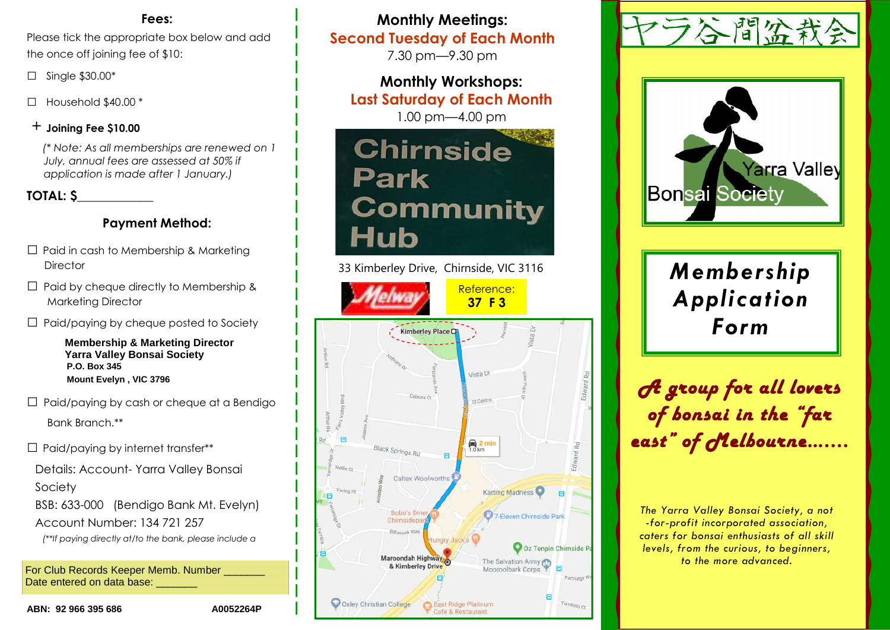#### **Fees:**

Please tick the appropriate box below and add the once off joining fee of \$10:

- □ Single \$30.00\*
- □ Household \$40.00 \*

#### + **Joining Fee \$10.00**

*(\* Note: As all memberships are renewed on 1 July, annual fees are assessed at 50% if application is made after 1 January.)*

#### **TOTAL: \$\_\_\_\_\_\_\_\_\_\_\_\_**

### **Payment Method:**

- $\Box$  Paid in cash to Membership & Marketing **Director**
- $\Box$  Paid by cheque directly to Membership & Marketing Director
- $\Box$  Paid/paying by cheque posted to Society

**Membership & Marketing Director Yarra Valley Bonsai Society P.O. Box 345 Mount Evelyn , VIC 3796**

- $\Box$  Paid/paying by cash or cheque at a Bendigo Bank Branch.\*\*
- $\Box$  Paid/paying by internet transfer\*\*
- Details: Account- Yarra Valley Bonsai Society
- BSB: 633-000 (Bendigo Bank Mt. Evelyn) Account Number: 134 721 257
- *(\*\*If paying directly at/to the bank, please include a*

For Club Records Keeper Memb. Number Date entered on data base:

**Monthly Meetings: Second Tuesday of Each Month**

7.30 pm—9.30 pm

**Monthly Workshops: Last Saturday of Each Month** 1.00 pm—4.00 pm



33 Kimberley Drive, Chirnside, VIC 3116







*Application*

*A group for all lovers of bonsai in the "far east" of Melbourne…....*

*The Yarra Valley Bonsai Society, a not -for-profit incorporated association, caters for bonsai enthusiasts of all skill levels, from the curious, to beginners, to the more advanced.*